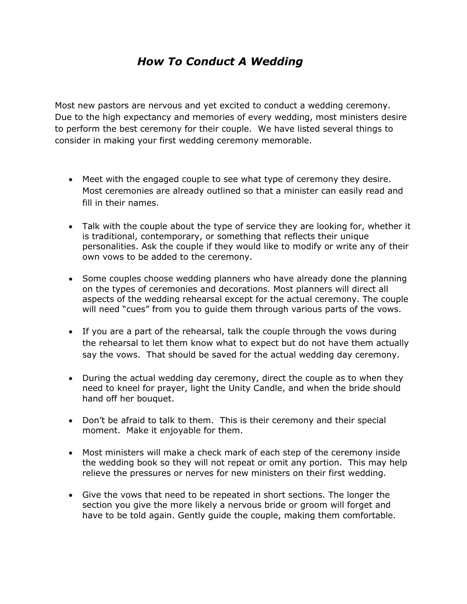## *How To Conduct A Wedding*

Most new pastors are nervous and yet excited to conduct a wedding ceremony. Due to the high expectancy and memories of every wedding, most ministers desire to perform the best ceremony for their couple. We have listed several things to consider in making your first wedding ceremony memorable.

- Meet with the engaged couple to see what type of ceremony they desire. Most ceremonies are already outlined so that a minister can easily read and fill in their names.
- Talk with the couple about the type of service they are looking for, whether it is traditional, contemporary, or something that reflects their unique personalities. Ask the couple if they would like to modify or write any of their own vows to be added to the ceremony.
- Some couples choose wedding planners who have already done the planning on the types of ceremonies and decorations. Most planners will direct all aspects of the wedding rehearsal except for the actual ceremony. The couple will need "cues" from you to guide them through various parts of the vows.
- If you are a part of the rehearsal, talk the couple through the vows during the rehearsal to let them know what to expect but do not have them actually say the vows. That should be saved for the actual wedding day ceremony.
- During the actual wedding day ceremony, direct the couple as to when they need to kneel for prayer, light the Unity Candle, and when the bride should hand off her bouquet.
- Don't be afraid to talk to them. This is their ceremony and their special moment. Make it enjoyable for them.
- Most ministers will make a check mark of each step of the ceremony inside the wedding book so they will not repeat or omit any portion. This may help relieve the pressures or nerves for new ministers on their first wedding.
- Give the vows that need to be repeated in short sections. The longer the section you give the more likely a nervous bride or groom will forget and have to be told again. Gently guide the couple, making them comfortable.